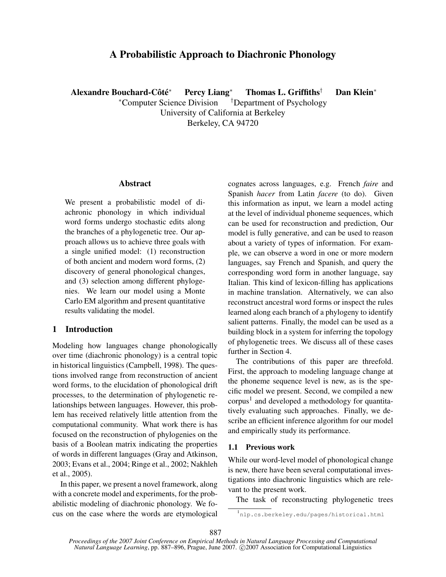# A Probabilistic Approach to Diachronic Phonology

Alexandre Bouchard-Côté $*$ Percy Liang<sup>∗</sup> Thomas L. Griffiths<sup>†</sup> Dan Klein<sup>∗</sup>

> <sup>∗</sup>Computer Science Division †Department of Psychology University of California at Berkeley

> > Berkeley, CA 94720

#### Abstract

We present a probabilistic model of diachronic phonology in which individual word forms undergo stochastic edits along the branches of a phylogenetic tree. Our approach allows us to achieve three goals with a single unified model: (1) reconstruction of both ancient and modern word forms, (2) discovery of general phonological changes, and (3) selection among different phylogenies. We learn our model using a Monte Carlo EM algorithm and present quantitative results validating the model.

# 1 Introduction

Modeling how languages change phonologically over time (diachronic phonology) is a central topic in historical linguistics (Campbell, 1998). The questions involved range from reconstruction of ancient word forms, to the elucidation of phonological drift processes, to the determination of phylogenetic relationships between languages. However, this problem has received relatively little attention from the computational community. What work there is has focused on the reconstruction of phylogenies on the basis of a Boolean matrix indicating the properties of words in different languages (Gray and Atkinson, 2003; Evans et al., 2004; Ringe et al., 2002; Nakhleh et al., 2005).

In this paper, we present a novel framework, along with a concrete model and experiments, for the probabilistic modeling of diachronic phonology. We focus on the case where the words are etymological cognates across languages, e.g. French *faire* and Spanish *hacer* from Latin *facere* (to do). Given this information as input, we learn a model acting at the level of individual phoneme sequences, which can be used for reconstruction and prediction, Our model is fully generative, and can be used to reason about a variety of types of information. For example, we can observe a word in one or more modern languages, say French and Spanish, and query the corresponding word form in another language, say Italian. This kind of lexicon-filling has applications in machine translation. Alternatively, we can also reconstruct ancestral word forms or inspect the rules learned along each branch of a phylogeny to identify salient patterns. Finally, the model can be used as a building block in a system for inferring the topology of phylogenetic trees. We discuss all of these cases further in Section 4.

The contributions of this paper are threefold. First, the approach to modeling language change at the phoneme sequence level is new, as is the specific model we present. Second, we compiled a new corpus<sup>1</sup> and developed a methodology for quantitatively evaluating such approaches. Finally, we describe an efficient inference algorithm for our model and empirically study its performance.

## 1.1 Previous work

While our word-level model of phonological change is new, there have been several computational investigations into diachronic linguistics which are relevant to the present work.

The task of reconstructing phylogenetic trees

<sup>1</sup>nlp.cs.berkeley.edu/pages/historical.html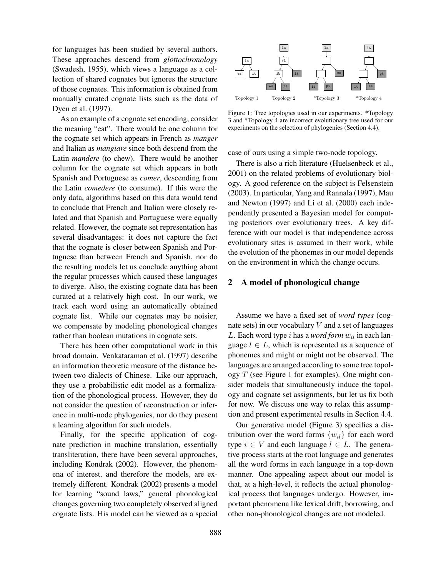for languages has been studied by several authors. These approaches descend from *glottochronology* (Swadesh, 1955), which views a language as a collection of shared cognates but ignores the structure of those cognates. This information is obtained from manually curated cognate lists such as the data of Dyen et al. (1997).

As an example of a cognate set encoding, consider the meaning "eat". There would be one column for the cognate set which appears in French as *manger* and Italian as *mangiare* since both descend from the Latin *mandere* (to chew). There would be another column for the cognate set which appears in both Spanish and Portuguese as *comer*, descending from the Latin *comedere* (to consume). If this were the only data, algorithms based on this data would tend to conclude that French and Italian were closely related and that Spanish and Portuguese were equally related. However, the cognate set representation has several disadvantages: it does not capture the fact that the cognate is closer between Spanish and Portuguese than between French and Spanish, nor do the resulting models let us conclude anything about the regular processes which caused these languages to diverge. Also, the existing cognate data has been curated at a relatively high cost. In our work, we track each word using an automatically obtained cognate list. While our cognates may be noisier, we compensate by modeling phonological changes rather than boolean mutations in cognate sets.

There has been other computational work in this broad domain. Venkataraman et al. (1997) describe an information theoretic measure of the distance between two dialects of Chinese. Like our approach, they use a probabilistic edit model as a formalization of the phonological process. However, they do not consider the question of reconstruction or inference in multi-node phylogenies, nor do they present a learning algorithm for such models.

Finally, for the specific application of cognate prediction in machine translation, essentially transliteration, there have been several approaches, including Kondrak (2002). However, the phenomena of interest, and therefore the models, are extremely different. Kondrak (2002) presents a model for learning "sound laws," general phonological changes governing two completely observed aligned cognate lists. His model can be viewed as a special



Figure 1: Tree topologies used in our experiments. \*Topology 3 and \*Topology 4 are incorrect evolutionary tree used for our experiments on the selection of phylogenies (Section 4.4).

case of ours using a simple two-node topology.

There is also a rich literature (Huelsenbeck et al., 2001) on the related problems of evolutionary biology. A good reference on the subject is Felsenstein (2003). In particular, Yang and Rannala (1997), Mau and Newton (1997) and Li et al. (2000) each independently presented a Bayesian model for computing posteriors over evolutionary trees. A key difference with our model is that independence across evolutionary sites is assumed in their work, while the evolution of the phonemes in our model depends on the environment in which the change occurs.

# 2 A model of phonological change

Assume we have a fixed set of *word types* (cognate sets) in our vocabulary  $V$  and a set of languages L. Each word type i has a *word form*  $w_{il}$  in each language  $l \in L$ , which is represented as a sequence of phonemes and might or might not be observed. The languages are arranged according to some tree topology  $T$  (see Figure 1 for examples). One might consider models that simultaneously induce the topology and cognate set assignments, but let us fix both for now. We discuss one way to relax this assumption and present experimental results in Section 4.4.

Our generative model (Figure 3) specifies a distribution over the word forms  $\{w_{il}\}\$ for each word type  $i \in V$  and each language  $l \in L$ . The generative process starts at the root language and generates all the word forms in each language in a top-down manner. One appealing aspect about our model is that, at a high-level, it reflects the actual phonological process that languages undergo. However, important phenomena like lexical drift, borrowing, and other non-phonological changes are not modeled.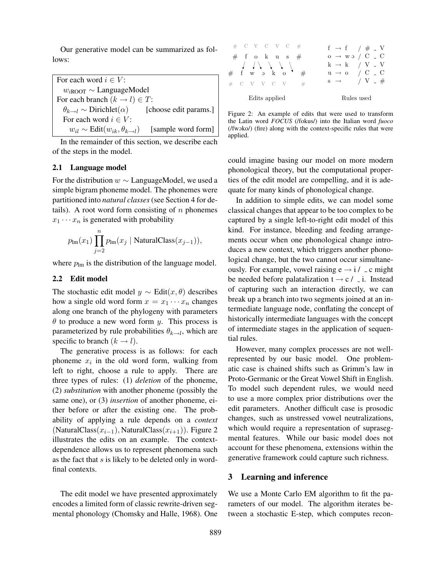Our generative model can be summarized as follows:

For each word  $i \in V$ :  $w_{i\text{ROT}} \sim$  LanguageModel For each branch  $(k \rightarrow l) \in T$ :  $\theta_{k\rightarrow l} \sim$  Dirichlet( $\alpha$ ) [choose edit params.] For each word  $i \in V$ :  $w_{il} \sim$  Edit $(w_{ik}, \theta_{k \to l})$  [sample word form]

In the remainder of this section, we describe each of the steps in the model.

# 2.1 Language model

For the distribution  $w \sim$  LanguageModel, we used a simple bigram phoneme model. The phonemes were partitioned into *natural classes* (see Section 4 for details). A root word form consisting of  $n$  phonemes  $x_1 \cdots x_n$  is generated with probability

$$
p_{\text{Im}}(x_1) \prod_{j=2}^{n} p_{\text{Im}}(x_j \mid \text{NaturalClass}(x_{j-1})),
$$

where  $p_{\text{lm}}$  is the distribution of the language model.

#### 2.2 Edit model

The stochastic edit model  $y \sim$  Edit $(x, \theta)$  describes how a single old word form  $x = x_1 \cdots x_n$  changes along one branch of the phylogeny with parameters  $\theta$  to produce a new word form y. This process is parameterized by rule probabilities  $\theta_{k\rightarrow l}$ , which are specific to branch  $(k \rightarrow l)$ .

The generative process is as follows: for each phoneme  $x_i$  in the old word form, walking from left to right, choose a rule to apply. There are three types of rules: (1) *deletion* of the phoneme, (2) *substitution* with another phoneme (possibly the same one), or (3) *insertion* of another phoneme, either before or after the existing one. The probability of applying a rule depends on a *context* (NaturalClass $(x_{i-1})$ , NaturalClass $(x_{i+1})$ ). Figure 2 illustrates the edits on an example. The contextdependence allows us to represent phenomena such as the fact that s is likely to be deleted only in wordfinal contexts.

The edit model we have presented approximately encodes a limited form of classic rewrite-driven segmental phonology (Chomsky and Halle, 1968). One



Figure 2: An example of edits that were used to transform the Latin word *FOCUS* (/fokus/) into the Italian word *fuoco* (/fwoko/) (fire) along with the context-specific rules that were applied.

could imagine basing our model on more modern phonological theory, but the computational properties of the edit model are compelling, and it is adequate for many kinds of phonological change.

In addition to simple edits, we can model some classical changes that appear to be too complex to be captured by a single left-to-right edit model of this kind. For instance, bleeding and feeding arrangements occur when one phonological change introduces a new context, which triggers another phonological change, but the two cannot occur simultaneously. For example, vowel raising  $e \rightarrow i /$  c might be needed before palatalization  $t \rightarrow c /$  i. Instead of capturing such an interaction directly, we can break up a branch into two segments joined at an intermediate language node, conflating the concept of historically intermediate languages with the concept of intermediate stages in the application of sequential rules.

However, many complex processes are not wellrepresented by our basic model. One problematic case is chained shifts such as Grimm's law in Proto-Germanic or the Great Vowel Shift in English. To model such dependent rules, we would need to use a more complex prior distributions over the edit parameters. Another difficult case is prosodic changes, such as unstressed vowel neutralizations, which would require a representation of suprasegmental features. While our basic model does not account for these phenomena, extensions within the generative framework could capture such richness.

### 3 Learning and inference

We use a Monte Carlo EM algorithm to fit the parameters of our model. The algorithm iterates between a stochastic E-step, which computes recon-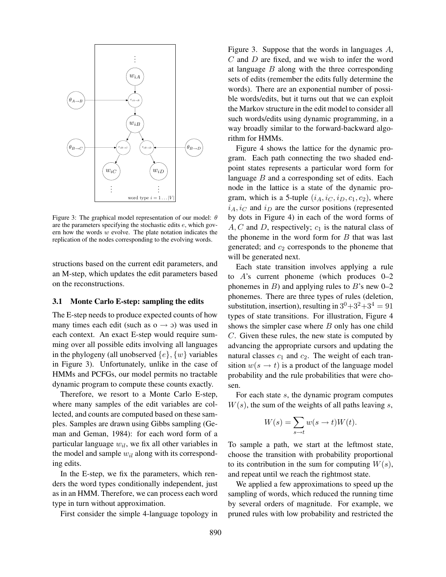

Figure 3: The graphical model representation of our model:  $\theta$ are the parameters specifying the stochastic edits e, which govern how the words  $w$  evolve. The plate notation indicates the replication of the nodes corresponding to the evolving words.

structions based on the current edit parameters, and an M-step, which updates the edit parameters based on the reconstructions.

#### 3.1 Monte Carlo E-step: sampling the edits

The E-step needs to produce expected counts of how many times each edit (such as  $o \rightarrow o$ ) was used in each context. An exact E-step would require summing over all possible edits involving all languages in the phylogeny (all unobserved  $\{e\}$ ,  $\{w\}$  variables in Figure 3). Unfortunately, unlike in the case of HMMs and PCFGs, our model permits no tractable dynamic program to compute these counts exactly.

Therefore, we resort to a Monte Carlo E-step, where many samples of the edit variables are collected, and counts are computed based on these samples. Samples are drawn using Gibbs sampling (Geman and Geman, 1984): for each word form of a particular language  $w_{il}$ , we fix all other variables in the model and sample  $w_{il}$  along with its corresponding edits.

In the E-step, we fix the parameters, which renders the word types conditionally independent, just as in an HMM. Therefore, we can process each word type in turn without approximation.

First consider the simple 4-language topology in

Figure 3. Suppose that the words in languages A,  $C$  and  $D$  are fixed, and we wish to infer the word at language  $B$  along with the three corresponding sets of edits (remember the edits fully determine the words). There are an exponential number of possible words/edits, but it turns out that we can exploit the Markov structure in the edit model to consider all such words/edits using dynamic programming, in a way broadly similar to the forward-backward algorithm for HMMs.

Figure 4 shows the lattice for the dynamic program. Each path connecting the two shaded endpoint states represents a particular word form for language  $B$  and a corresponding set of edits. Each node in the lattice is a state of the dynamic program, which is a 5-tuple  $(i_A, i_C, i_D, c_1, c_2)$ , where  $i_A, i_C$  and  $i_D$  are the cursor positions (represented by dots in Figure 4) in each of the word forms of  $A, C$  and D, respectively;  $c_1$  is the natural class of the phoneme in the word form for  $B$  that was last generated; and  $c_2$  corresponds to the phoneme that will be generated next.

Each state transition involves applying a rule to A's current phoneme (which produces 0–2 phonemes in  $B$ ) and applying rules to  $B$ 's new 0–2 phonemes. There are three types of rules (deletion, substitution, insertion), resulting in  $3^0+3^2+3^4=91$ types of state transitions. For illustration, Figure 4 shows the simpler case where  $B$  only has one child C. Given these rules, the new state is computed by advancing the appropriate cursors and updating the natural classes  $c_1$  and  $c_2$ . The weight of each transition  $w(s \rightarrow t)$  is a product of the language model probability and the rule probabilities that were chosen.

For each state s, the dynamic program computes  $W(s)$ , the sum of the weights of all paths leaving s,

$$
W(s) = \sum_{s \to t} w(s \to t) W(t).
$$

To sample a path, we start at the leftmost state, choose the transition with probability proportional to its contribution in the sum for computing  $W(s)$ , and repeat until we reach the rightmost state.

We applied a few approximations to speed up the sampling of words, which reduced the running time by several orders of magnitude. For example, we pruned rules with low probability and restricted the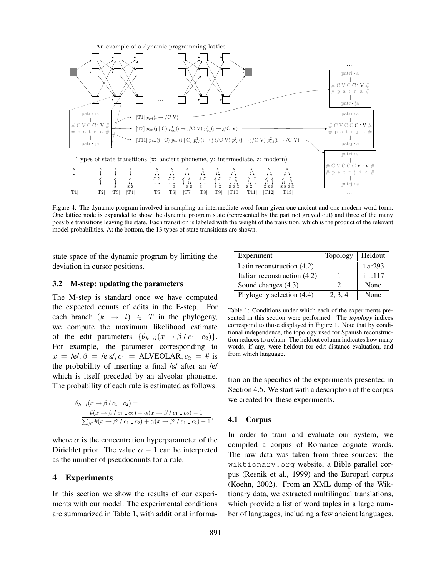

Figure 4: The dynamic program involved in sampling an intermediate word form given one ancient and one modern word form. One lattice node is expanded to show the dynamic program state (represented by the part not grayed out) and three of the many possible transitions leaving the state. Each transition is labeled with the weight of the transition, which is the product of the relevant model probabilities. At the bottom, the 13 types of state transitions are shown.

state space of the dynamic program by limiting the deviation in cursor positions.

#### 3.2 M-step: updating the parameters

The M-step is standard once we have computed the expected counts of edits in the E-step. For each branch  $(k \rightarrow l) \in T$  in the phylogeny, we compute the maximum likelihood estimate of the edit parameters  $\{\theta_{k\rightarrow l}(x \rightarrow \beta / c_1 \cdot c_2)\}.$ For example, the parameter corresponding to  $x = \text{Re}l, \beta = \text{Re }sl, c_1 = \text{ALVEOLAR}, c_2 = \text{# is}$ the probability of inserting a final /s/ after an /e/ which is itself preceded by an alveolar phoneme. The probability of each rule is estimated as follows:

$$
\theta_{k \to l}(x \to \beta / c_1 - c_2) =
$$
  
\n
$$
\frac{\#(x \to \beta / c_1 - c_2) + \alpha(x \to \beta / c_1 - c_2) - 1}{\sum_{\beta'} \#(x \to \beta' / c_1 - c_2) + \alpha(x \to \beta' / c_1 - c_2) - 1},
$$

where  $\alpha$  is the concentration hyperparameter of the Dirichlet prior. The value  $\alpha - 1$  can be interpreted as the number of pseudocounts for a rule.

### 4 Experiments

In this section we show the results of our experiments with our model. The experimental conditions are summarized in Table 1, with additional informa-

| Experiment                   | Topology | Heldout |
|------------------------------|----------|---------|
| Latin reconstruction $(4.2)$ |          | 1a:293  |
| Italian reconstruction (4.2) |          | it:117  |
| Sound changes (4.3)          |          | None    |
| Phylogeny selection (4.4)    | 2, 3, 4  | None    |

Table 1: Conditions under which each of the experiments presented in this section were performed. The *topology* indices correspond to those displayed in Figure 1. Note that by conditional independence, the topology used for Spanish reconstruction reduces to a chain. The heldout column indicates how many words, if any, were heldout for edit distance evaluation, and from which language.

tion on the specifics of the experiments presented in Section 4.5. We start with a description of the corpus we created for these experiments.

## 4.1 Corpus

In order to train and evaluate our system, we compiled a corpus of Romance cognate words. The raw data was taken from three sources: the wiktionary.org website, a Bible parallel corpus (Resnik et al., 1999) and the Europarl corpus (Koehn, 2002). From an XML dump of the Wiktionary data, we extracted multilingual translations, which provide a list of word tuples in a large number of languages, including a few ancient languages.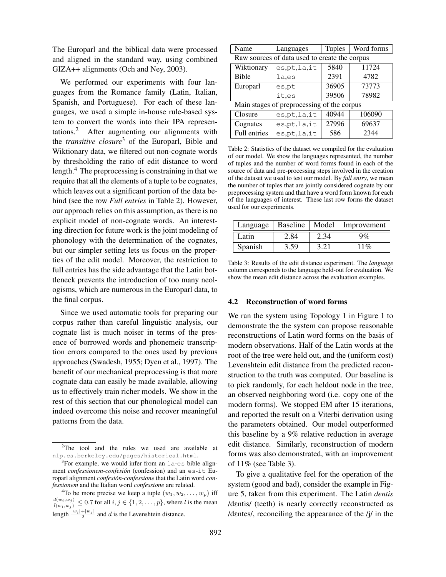The Europarl and the biblical data were processed and aligned in the standard way, using combined GIZA++ alignments (Och and Ney, 2003).

We performed our experiments with four languages from the Romance family (Latin, Italian, Spanish, and Portuguese). For each of these languages, we used a simple in-house rule-based system to convert the words into their IPA representations.<sup>2</sup> After augmenting our alignments with the *transitive closure*<sup>3</sup> of the Europarl, Bible and Wiktionary data, we filtered out non-cognate words by thresholding the ratio of edit distance to word length.<sup>4</sup> The preprocessing is constraining in that we require that all the elements of a tuple to be cognates, which leaves out a significant portion of the data behind (see the row *Full entries* in Table 2). However, our approach relies on this assumption, as there is no explicit model of non-cognate words. An interesting direction for future work is the joint modeling of phonology with the determination of the cognates, but our simpler setting lets us focus on the properties of the edit model. Moreover, the restriction to full entries has the side advantage that the Latin bottleneck prevents the introduction of too many neologisms, which are numerous in the Europarl data, to the final corpus.

Since we used automatic tools for preparing our corpus rather than careful linguistic analysis, our cognate list is much noiser in terms of the presence of borrowed words and phonemeic transcription errors compared to the ones used by previous approaches (Swadesh, 1955; Dyen et al., 1997). The benefit of our mechanical preprocessing is that more cognate data can easily be made available, allowing us to effectively train richer models. We show in the rest of this section that our phonological model can indeed overcome this noise and recover meaningful patterns from the data.

| Name                                          | Languages      | <b>Tuples</b> | Word forms |  |  |
|-----------------------------------------------|----------------|---------------|------------|--|--|
| Raw sources of data used to create the corpus |                |               |            |  |  |
| Wiktionary                                    | es,pt,la,it    | 5840          | 11724      |  |  |
| <b>Bible</b>                                  | la,es          | 2391          | 4782       |  |  |
| Europarl                                      | es,pt          | 36905         | 73773      |  |  |
|                                               | it,es          | 39506         | 78982      |  |  |
| Main stages of preprocessing of the corpus    |                |               |            |  |  |
| Closure                                       | es,pt,la,it    | 40944         | 106090     |  |  |
| Cognates                                      | es, pt, la, it | 27996         | 69637      |  |  |
| <b>Full entries</b>                           | es.pt.la.it    | 586           | 2344       |  |  |

Table 2: Statistics of the dataset we compiled for the evaluation of our model. We show the languages represented, the number of tuples and the number of word forms found in each of the source of data and pre-processing steps involved in the creation of the dataset we used to test our model. By *full entry*, we mean the number of tuples that are jointly considered cognate by our preprocessing system and that have a word form known for each of the languages of interest. These last row forms the dataset used for our experiments.

| Language |      |      | Baseline   Model   Improvement |
|----------|------|------|--------------------------------|
| Latin    | 2.84 |      | $9\%$                          |
| Spanish  | 3.59 | 3.21 | $11\%$                         |

Table 3: Results of the edit distance experiment. The *language* column corresponds to the language held-out for evaluation. We show the mean edit distance across the evaluation examples.

#### 4.2 Reconstruction of word forms

We ran the system using Topology 1 in Figure 1 to demonstrate the the system can propose reasonable reconstructions of Latin word forms on the basis of modern observations. Half of the Latin words at the root of the tree were held out, and the (uniform cost) Levenshtein edit distance from the predicted reconstruction to the truth was computed. Our baseline is to pick randomly, for each heldout node in the tree, an observed neighboring word (i.e. copy one of the modern forms). We stopped EM after 15 iterations, and reported the result on a Viterbi derivation using the parameters obtained. Our model outperformed this baseline by a 9% relative reduction in average edit distance. Similarly, reconstruction of modern forms was also demonstrated, with an improvement of 11% (see Table 3).

To give a qualitative feel for the operation of the system (good and bad), consider the example in Figure 5, taken from this experiment. The Latin *dentis* /dEntis/ (teeth) is nearly correctly reconstructed as /dEntes/, reconciling the appearance of the /j/ in the

 $2$ The tool and the rules we used are available at nlp.cs.berkeley.edu/pages/historical.html.

 $3$ For example, we would infer from an  $1a$ -es bible alignment *confessionem*-*confesion´* (confession) and an es-it Europarl alignment *confession-confessione* that the Latin word *confessionem* and the Italian word *confessione* are related.

<sup>&</sup>lt;sup>4</sup>To be more precise we keep a tuple  $(w_1, w_2, \ldots, w_p)$  iff  $\frac{d(w_i, w_j)}{\bar{l}(w_i, w_j)} \leq 0.7$  for all  $i, j \in \{1, 2, \dots, p\}$ , where  $\bar{l}$  is the mean length  $\frac{|w_i|+|w_j|}{2}$  and d is the Levenshtein distance.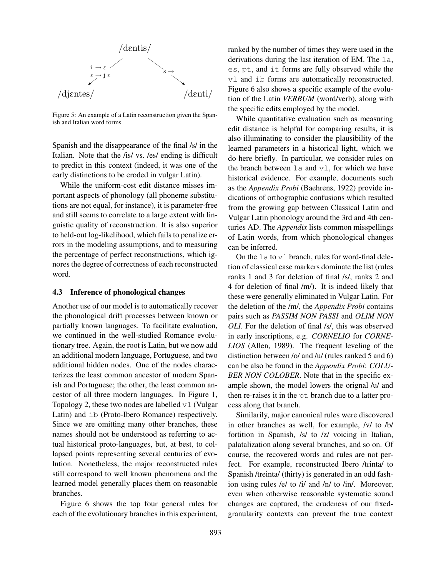

Figure 5: An example of a Latin reconstruction given the Spanish and Italian word forms.

Spanish and the disappearance of the final /s/ in the Italian. Note that the /is/ vs. /es/ ending is difficult to predict in this context (indeed, it was one of the early distinctions to be eroded in vulgar Latin).

While the uniform-cost edit distance misses important aspects of phonology (all phoneme substitutions are not equal, for instance), it is parameter-free and still seems to correlate to a large extent with linguistic quality of reconstruction. It is also superior to held-out log-likelihood, which fails to penalize errors in the modeling assumptions, and to measuring the percentage of perfect reconstructions, which ignores the degree of correctness of each reconstructed word.

## 4.3 Inference of phonological changes

Another use of our model is to automatically recover the phonological drift processes between known or partially known languages. To facilitate evaluation, we continued in the well-studied Romance evolutionary tree. Again, the root is Latin, but we now add an additional modern language, Portuguese, and two additional hidden nodes. One of the nodes characterizes the least common ancestor of modern Spanish and Portuguese; the other, the least common ancestor of all three modern languages. In Figure 1, Topology 2, these two nodes are labelled  $v1$  (Vulgar Latin) and ib (Proto-Ibero Romance) respectively. Since we are omitting many other branches, these names should not be understood as referring to actual historical proto-languages, but, at best, to collapsed points representing several centuries of evolution. Nonetheless, the major reconstructed rules still correspond to well known phenomena and the learned model generally places them on reasonable branches.

Figure 6 shows the top four general rules for each of the evolutionary branches in this experiment, ranked by the number of times they were used in the derivations during the last iteration of EM. The la, es, pt, and it forms are fully observed while the vl and ib forms are automatically reconstructed. Figure 6 also shows a specific example of the evolution of the Latin *VERBUM* (word/verb), along with the specific edits employed by the model.

While quantitative evaluation such as measuring edit distance is helpful for comparing results, it is also illuminating to consider the plausibility of the learned parameters in a historical light, which we do here briefly. In particular, we consider rules on the branch between  $l$ a and  $vl$ , for which we have historical evidence. For example, documents such as the *Appendix Probi* (Baehrens, 1922) provide indications of orthographic confusions which resulted from the growing gap between Classical Latin and Vulgar Latin phonology around the 3rd and 4th centuries AD. The *Appendix* lists common misspellings of Latin words, from which phonological changes can be inferred.

On the la to vl branch, rules for word-final deletion of classical case markers dominate the list (rules ranks 1 and 3 for deletion of final /s/, ranks 2 and 4 for deletion of final /m/). It is indeed likely that these were generally eliminated in Vulgar Latin. For the deletion of the /m/, the *Appendix Probi* contains pairs such as *PASSIM NON PASSI* and *OLIM NON OLI*. For the deletion of final /s/, this was observed in early inscriptions, e.g. *CORNELIO* for *CORNE-LIOS* (Allen, 1989). The frequent leveling of the distinction between /o/ and /u/ (rules ranked 5 and 6) can be also be found in the *Appendix Probi*: *COLU-BER NON COLOBER*. Note that in the specific example shown, the model lowers the orignal /u/ and then re-raises it in the pt branch due to a latter process along that branch.

Similarily, major canonical rules were discovered in other branches as well, for example, /v/ to /b/ fortition in Spanish, /s/ to /z/ voicing in Italian, palatalization along several branches, and so on. Of course, the recovered words and rules are not perfect. For example, reconstructed Ibero /trinta/ to Spanish /treinta/ (thirty) is generated in an odd fashion using rules /e/ to /i/ and /n/ to /in/. Moreover, even when otherwise reasonable systematic sound changes are captured, the crudeness of our fixedgranularity contexts can prevent the true context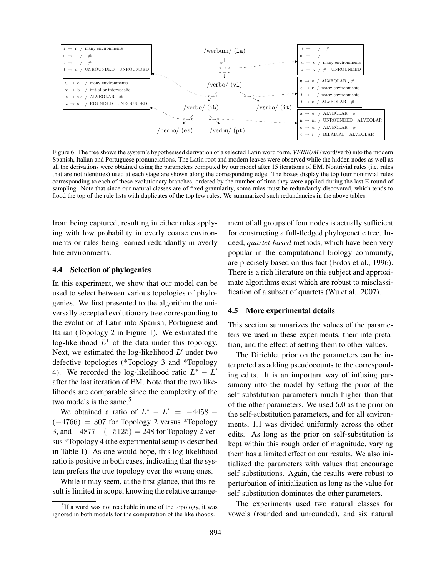

Figure 6: The tree shows the system's hypothesised derivation of a selected Latin word form, *VERBUM* (word/verb) into the modern Spanish, Italian and Portuguese pronunciations. The Latin root and modern leaves were observed while the hidden nodes as well as all the derivations were obtained using the parameters computed by our model after 15 iterations of EM. Nontrivial rules (i.e. rules that are not identities) used at each stage are shown along the corresponding edge. The boxes display the top four nontrivial rules corresponding to each of these evolutionary branches, ordered by the number of time they were applied during the last E round of sampling. Note that since our natural classes are of fixed granularity, some rules must be redundantly discovered, which tends to flood the top of the rule lists with duplicates of the top few rules. We summarized such redundancies in the above tables.

from being captured, resulting in either rules applying with low probability in overly coarse environments or rules being learned redundantly in overly fine environments.

## 4.4 Selection of phylogenies

In this experiment, we show that our model can be used to select between various topologies of phylogenies. We first presented to the algorithm the universally accepted evolutionary tree corresponding to the evolution of Latin into Spanish, Portuguese and Italian (Topology 2 in Figure 1). We estimated the log-likelihood  $L^*$  of the data under this topology. Next, we estimated the log-likelihood  $L'$  under two defective topologies (\*Topology 3 and \*Topology 4). We recorded the log-likelihood ratio  $L^* - L'$ after the last iteration of EM. Note that the two likelihoods are comparable since the complexity of the two models is the same.<sup>5</sup>

We obtained a ratio of  $L^* - L' = -4458 (-4766) = 307$  for Topology 2 versus \*Topology 3, and  $-4877 - (-5125) = 248$  for Topology 2 versus \*Topology 4 (the experimental setup is described in Table 1). As one would hope, this log-likelihood ratio is positive in both cases, indicating that the system prefers the true topology over the wrong ones.

While it may seem, at the first glance, that this result is limited in scope, knowing the relative arrangement of all groups of four nodes is actually sufficient for constructing a full-fledged phylogenetic tree. Indeed, *quartet-based* methods, which have been very popular in the computational biology community, are precisely based on this fact (Erdos et al., 1996). There is a rich literature on this subject and approximate algorithms exist which are robust to misclassification of a subset of quartets (Wu et al., 2007).

#### 4.5 More experimental details

This section summarizes the values of the parameters we used in these experiments, their interpretation, and the effect of setting them to other values.

The Dirichlet prior on the parameters can be interpreted as adding pseudocounts to the corresponding edits. It is an important way of infusing parsimony into the model by setting the prior of the self-substitution parameters much higher than that of the other parameters. We used 6.0 as the prior on the self-substitution parameters, and for all environments, 1.1 was divided uniformly across the other edits. As long as the prior on self-substitution is kept within this rough order of magnitude, varying them has a limited effect on our results. We also initialized the parameters with values that encourage self-substitutions. Again, the results were robust to perturbation of initialization as long as the value for self-substitution dominates the other parameters.

The experiments used two natural classes for vowels (rounded and unrounded), and six natural

<sup>&</sup>lt;sup>5</sup>If a word was not reachable in one of the topology, it was ignored in both models for the computation of the likelihoods.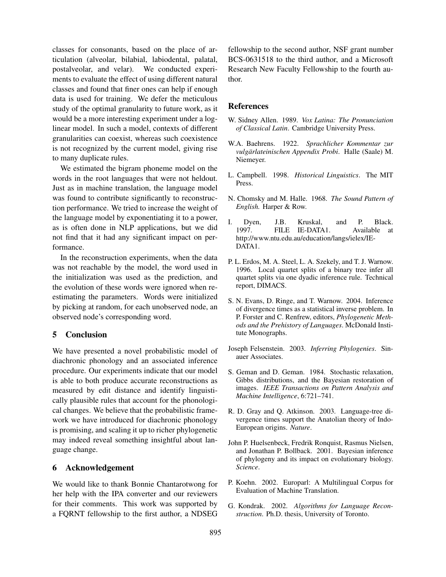classes for consonants, based on the place of articulation (alveolar, bilabial, labiodental, palatal, postalveolar, and velar). We conducted experiments to evaluate the effect of using different natural classes and found that finer ones can help if enough data is used for training. We defer the meticulous study of the optimal granularity to future work, as it would be a more interesting experiment under a loglinear model. In such a model, contexts of different granularities can coexist, whereas such coexistence is not recognized by the current model, giving rise to many duplicate rules.

We estimated the bigram phoneme model on the words in the root languages that were not heldout. Just as in machine translation, the language model was found to contribute significantly to reconstruction performance. We tried to increase the weight of the language model by exponentiating it to a power, as is often done in NLP applications, but we did not find that it had any significant impact on performance.

In the reconstruction experiments, when the data was not reachable by the model, the word used in the initialization was used as the prediction, and the evolution of these words were ignored when reestimating the parameters. Words were initialized by picking at random, for each unobserved node, an observed node's corresponding word.

# 5 Conclusion

We have presented a novel probabilistic model of diachronic phonology and an associated inference procedure. Our experiments indicate that our model is able to both produce accurate reconstructions as measured by edit distance and identify linguistically plausible rules that account for the phonological changes. We believe that the probabilistic framework we have introduced for diachronic phonology is promising, and scaling it up to richer phylogenetic may indeed reveal something insightful about language change.

# 6 Acknowledgement

We would like to thank Bonnie Chantarotwong for her help with the IPA converter and our reviewers for their comments. This work was supported by a FQRNT fellowship to the first author, a NDSEG fellowship to the second author, NSF grant number BCS-0631518 to the third author, and a Microsoft Research New Faculty Fellowship to the fourth author.

## References

- W. Sidney Allen. 1989. *Vox Latina: The Pronunciation of Classical Latin*. Cambridge University Press.
- W.A. Baehrens. 1922. *Sprachlicher Kommentar zur vulgarlateinischen Appendix Probi ¨* . Halle (Saale) M. Niemeyer.
- L. Campbell. 1998. *Historical Linguistics*. The MIT Press.
- N. Chomsky and M. Halle. 1968. *The Sound Pattern of English.* Harper & Row.
- I. Dyen, J.B. Kruskal, and P. Black. 1997. FILE IE-DATA1. Available at http://www.ntu.edu.au/education/langs/ielex/IE-DATA1.
- P. L. Erdos, M. A. Steel, L. A. Szekely, and T. J. Warnow. 1996. Local quartet splits of a binary tree infer all quartet splits via one dyadic inference rule. Technical report, DIMACS.
- S. N. Evans, D. Ringe, and T. Warnow. 2004. Inference of divergence times as a statistical inverse problem. In P. Forster and C. Renfrew, editors, *Phylogenetic Methods and the Prehistory of Languages*. McDonald Institute Monographs.
- Joseph Felsenstein. 2003. *Inferring Phylogenies*. Sinauer Associates.
- S. Geman and D. Geman. 1984. Stochastic relaxation, Gibbs distributions, and the Bayesian restoration of images. *IEEE Transactions on Pattern Analysis and Machine Intelligence*, 6:721–741.
- R. D. Gray and Q. Atkinson. 2003. Language-tree divergence times support the Anatolian theory of Indo-European origins. *Nature*.
- John P. Huelsenbeck, Fredrik Ronquist, Rasmus Nielsen, and Jonathan P. Bollback. 2001. Bayesian inference of phylogeny and its impact on evolutionary biology. *Science*.
- P. Koehn. 2002. Europarl: A Multilingual Corpus for Evaluation of Machine Translation.
- G. Kondrak. 2002. *Algorithms for Language Reconstruction*. Ph.D. thesis, University of Toronto.